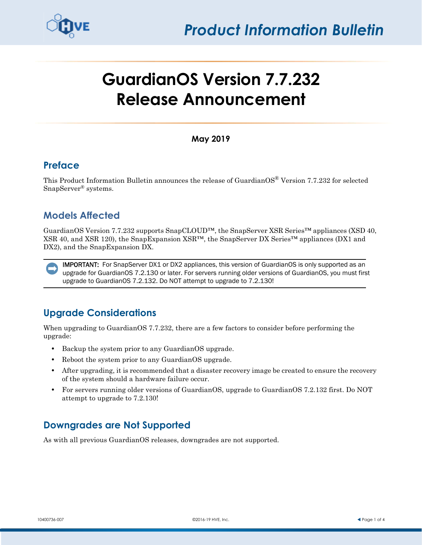

# **GuardianOS Version 7.7.232 Release Announcement**

#### **May 2019**

### **Preface**

This Product Information Bulletin announces the release of GuardianOS<sup>®</sup> Version 7.7.232 for selected SnapServer® systems.

# **Models Affected**

GuardianOS Version 7.7.232 supports SnapCLOUD™, the SnapServer XSR Series™ appliances (XSD 40, XSR 40, and XSR 120), the SnapExpansion XSR™, the SnapServer DX Series™ appliances (DX1 and DX2), and the SnapExpansion DX.

IMPORTANT: For SnapServer DX1 or DX2 appliances, this version of GuardianOS is only supported as an upgrade for GuardianOS 7.2.130 or later. For servers running older versions of GuardianOS, you must first upgrade to GuardianOS 7.2.132. Do NOT attempt to upgrade to 7.2.130!

# **Upgrade Considerations**

When upgrading to GuardianOS 7.7.232, there are a few factors to consider before performing the upgrade:

- **•** Backup the system prior to any GuardianOS upgrade.
- **•** Reboot the system prior to any GuardianOS upgrade.
- After upgrading, it is recommended that a disaster recovery image be created to ensure the recovery of the system should a hardware failure occur.
- **•** For servers running older versions of GuardianOS, upgrade to GuardianOS 7.2.132 first. Do NOT attempt to upgrade to 7.2.130!

# **Downgrades are Not Supported**

As with all previous GuardianOS releases, downgrades are not supported.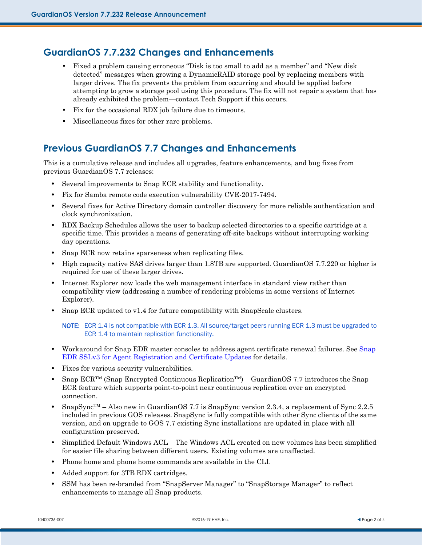#### **GuardianOS 7.7.232 Changes and Enhancements**

- **•** Fixed a problem causing erroneous "Disk is too small to add as a member" and "New disk detected" messages when growing a DynamicRAID storage pool by replacing members with larger drives. The fix prevents the problem from occurring and should be applied before attempting to grow a storage pool using this procedure. The fix will not repair a system that has already exhibited the problem—contact Tech Support if this occurs.
- **•** Fix for the occasional RDX job failure due to timeouts.
- **•** Miscellaneous fixes for other rare problems.

## **Previous GuardianOS 7.7 Changes and Enhancements**

This is a cumulative release and includes all upgrades, feature enhancements, and bug fixes from previous GuardianOS 7.7 releases:

- **•** Several improvements to Snap ECR stability and functionality.
- **•** Fix for Samba remote code execution vulnerability CVE-2017-7494.
- **•** Several fixes for Active Directory domain controller discovery for more reliable authentication and clock synchronization.
- **•** RDX Backup Schedules allows the user to backup selected directories to a specific cartridge at a specific time. This provides a means of generating off-site backups without interrupting working day operations.
- Snap ECR now retains sparseness when replicating files.
- **•** High capacity native SAS drives larger than 1.8TB are supported. GuardianOS 7.7.220 or higher is required for use of these larger drives.
- **•** Internet Explorer now loads the web management interface in standard view rather than compatibility view (addressing a number of rendering problems in some versions of Internet Explorer).
- Snap ECR updated to v1.4 for future compatibility with SnapScale clusters.

NOTE: ECR 1.4 is not compatible with ECR 1.3. All source/target peers running ECR 1.3 must be upgraded to ECR 1.4 to maintain replication functionality.

- Workaround for [Snap](#page-2-0) EDR master consoles to address agent certificate renewal failures. See Snap [EDR SSLv3 for Agent Registration and Certificate Updates](#page-2-0) for details.
- **•** Fixes for various security vulnerabilities.
- **•** Snap ECR™ (Snap Encrypted Continuous Replication™) GuardianOS 7.7 introduces the Snap ECR feature which supports point-to-point near continuous replication over an encrypted connection.
- SnapSync™ Also new in GuardianOS 7.7 is SnapSync version 2.3.4, a replacement of Sync 2.2.5 included in previous GOS releases. SnapSync is fully compatible with other Sync clients of the same version, and on upgrade to GOS 7.7 existing Sync installations are updated in place with all configuration preserved.
- **•** Simplified Default Windows ACL The Windows ACL created on new volumes has been simplified for easier file sharing between different users. Existing volumes are unaffected.
- **•** Phone home and phone home commands are available in the CLI.
- **•** Added support for 3TB RDX cartridges.
- **•** SSM has been re-branded from "SnapServer Manager" to "SnapStorage Manager" to reflect enhancements to manage all Snap products.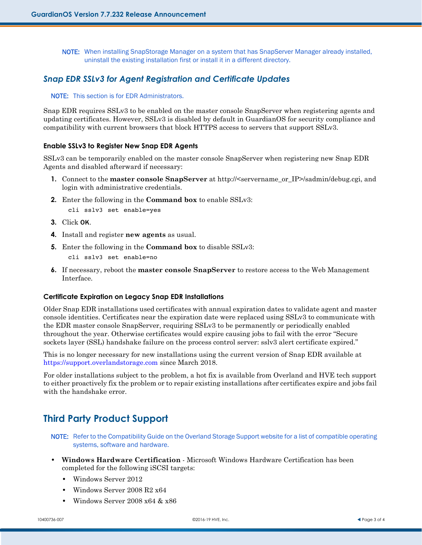NOTE: When installing SnapStorage Manager on a system that has SnapServer Manager already installed, uninstall the existing installation first or install it in a different directory.

#### <span id="page-2-0"></span>*Snap EDR SSLv3 for Agent Registration and Certificate Updates*

#### NOTE: This section is for EDR Administrators.

Snap EDR requires SSLv3 to be enabled on the master console SnapServer when registering agents and updating certificates. However, SSLv3 is disabled by default in GuardianOS for security compliance and compatibility with current browsers that block HTTPS access to servers that support SSLv3.

#### **Enable SSLv3 to Register New Snap EDR Agents**

SSLv3 can be temporarily enabled on the master console SnapServer when registering new Snap EDR Agents and disabled afterward if necessary:

- **1.** Connect to the **master console SnapServer** at http://<servername\_or\_IP>/sadmin/debug.cgi, and login with administrative credentials.
- **2.** Enter the following in the **Command box** to enable SSLv3:

cli sslv3 set enable=yes

- **3.** Click OK.
- **4.** Install and register **new agents** as usual.
- **5.** Enter the following in the **Command box** to disable SSLv3:

cli sslv3 set enable=no

**6.** If necessary, reboot the **master console SnapServer** to restore access to the Web Management Interface.

#### **Certificate Expiration on Legacy Snap EDR Installations**

Older Snap EDR installations used certificates with annual expiration dates to validate agent and master console identities. Certificates near the expiration date were replaced using SSLv3 to communicate with the EDR master console SnapServer, requiring SSLv3 to be permanently or periodically enabled throughout the year. Otherwise certificates would expire causing jobs to fail with the error "Secure sockets layer (SSL) handshake failure on the process control server: sslv3 alert certificate expired."

This is no longer necessary for new installations using the current version of Snap EDR available at <https://support.overlandstorage.com> since March 2018.

For older installations subject to the problem, a hot fix is available from Overland and HVE tech support to either proactively fix the problem or to repair existing installations after certificates expire and jobs fail with the handshake error.

## **Third Party Product Support**

NOTE: Refer to the Compatibility Guide on the Overland Storage Support website for a list of compatible operating systems, software and hardware.

- **• Windows Hardware Certification** Microsoft Windows Hardware Certification has been completed for the following iSCSI targets:
	- **•** Windows Server 2012
	- **•** Windows Server 2008 R2 x64
	- **•** Windows Server 2008 x64 & x86